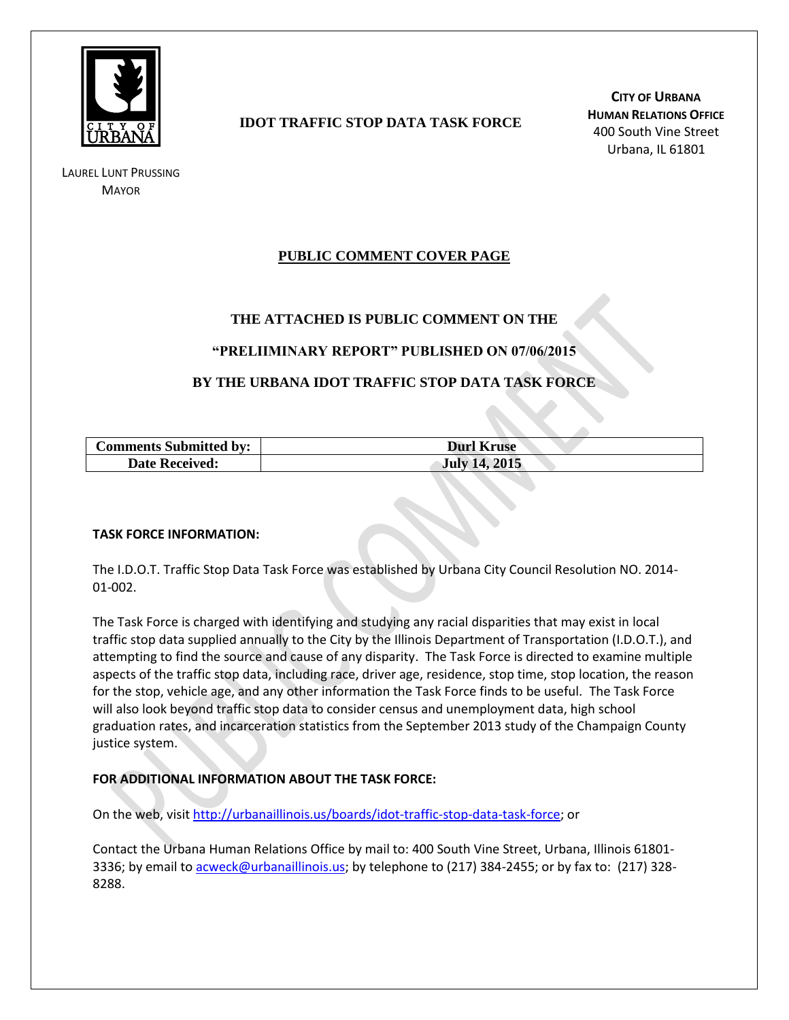

LAUREL LUNT PRUSSING **MAYOR** 

## **IDOT TRAFFIC STOP DATA TASK FORCE**

**CITY OF URBANA HUMAN RELATIONS OFFICE** 400 South Vine Street Urbana, IL 61801

## **PUBLIC COMMENT COVER PAGE**

## **THE ATTACHED IS PUBLIC COMMENT ON THE**

### **"PRELIIMINARY REPORT" PUBLISHED ON 07/06/2015**

## **BY THE URBANA IDOT TRAFFIC STOP DATA TASK FORCE**

| <b>Comments Submitted by:</b> | <b>Durl Kruse</b>    |
|-------------------------------|----------------------|
| <b>Date Received:</b>         | <b>July 14, 2015</b> |

#### **TASK FORCE INFORMATION:**

The I.D.O.T. Traffic Stop Data Task Force was established by Urbana City Council Resolution NO. 2014- 01-002.

The Task Force is charged with identifying and studying any racial disparities that may exist in local traffic stop data supplied annually to the City by the Illinois Department of Transportation (I.D.O.T.), and attempting to find the source and cause of any disparity. The Task Force is directed to examine multiple aspects of the traffic stop data, including race, driver age, residence, stop time, stop location, the reason for the stop, vehicle age, and any other information the Task Force finds to be useful. The Task Force will also look beyond traffic stop data to consider census and unemployment data, high school graduation rates, and incarceration statistics from the September 2013 study of the Champaign County justice system.

### **FOR ADDITIONAL INFORMATION ABOUT THE TASK FORCE:**

On the web, visit [http://urbanaillinois.us/boards/idot-traffic-stop-data-task-force;](http://urbanaillinois.us/boards/idot-traffic-stop-data-task-force) or

Contact the Urbana Human Relations Office by mail to: 400 South Vine Street, Urbana, Illinois 61801 3336; by email to [acweck@urbanaillinois.us;](mailto:acweck@urbanaillinois.us) by telephone to (217) 384-2455; or by fax to: (217) 328-8288.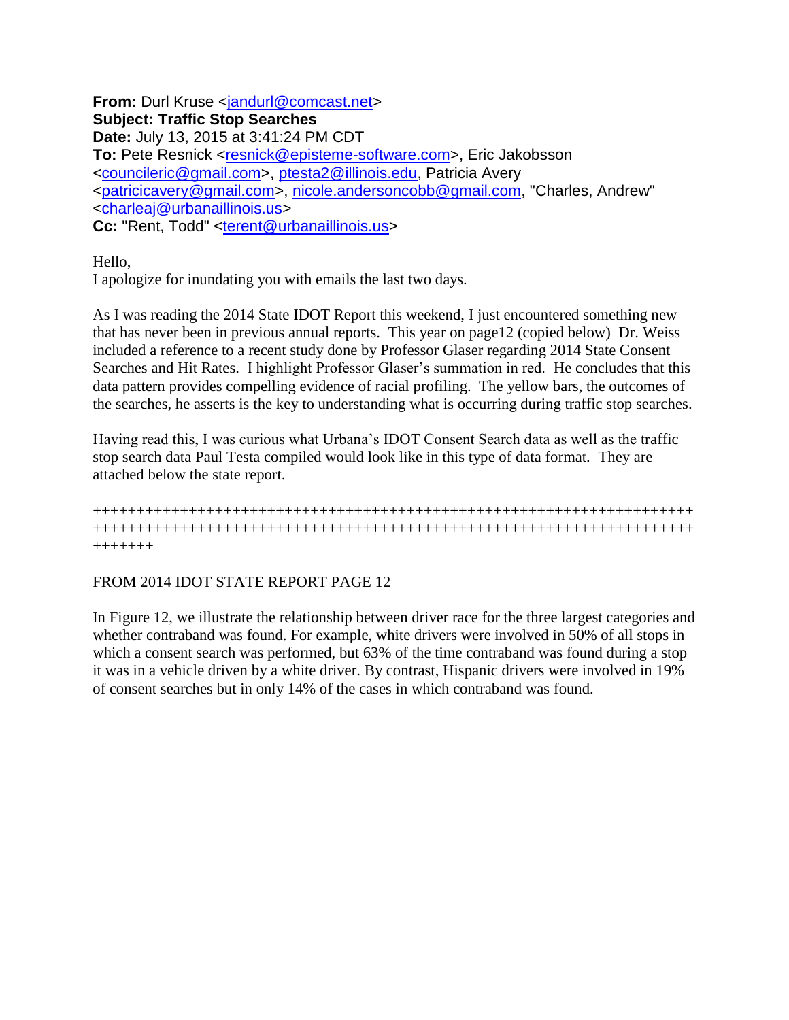**From:** Durl Kruse <iandurl@comcast.net> **Subject: Traffic Stop Searches Date:** July 13, 2015 at 3:41:24 PM CDT **To:** Pete Resnick [<resnick@episteme-software.com>](mailto:resnick@episteme-software.com), Eric Jakobsson [<councileric@gmail.com>](mailto:councileric@gmail.com), [ptesta2@illinois.edu,](mailto:ptesta2@illinois.edu) Patricia Avery [<patricicavery@gmail.com>](mailto:patricicavery@gmail.com), [nicole.andersoncobb@gmail.com,](mailto:nicole.andersoncobb@gmail.com) "Charles, Andrew" [<charleaj@urbanaillinois.us>](mailto:charleaj@urbanaillinois.us) **Cc:** "Rent, Todd" [<terent@urbanaillinois.us>](mailto:terent@urbanaillinois.us)

Hello,

I apologize for inundating you with emails the last two days.

As I was reading the 2014 State IDOT Report this weekend, I just encountered something new that has never been in previous annual reports. This year on page12 (copied below) Dr. Weiss included a reference to a recent study done by Professor Glaser regarding 2014 State Consent Searches and Hit Rates. I highlight Professor Glaser's summation in red. He concludes that this data pattern provides compelling evidence of racial profiling. The yellow bars, the outcomes of the searches, he asserts is the key to understanding what is occurring during traffic stop searches.

Having read this, I was curious what Urbana's IDOT Consent Search data as well as the traffic stop search data Paul Testa compiled would look like in this type of data format. They are attached below the state report.

+++++++++++++++++++++++++++++++++++++++++++++++++++++++++++++++++++++ +++++++++++++++++++++++++++++++++++++++++++++++++++++++++++++++++++++ +++++++

## FROM 2014 IDOT STATE REPORT PAGE 12

In Figure 12, we illustrate the relationship between driver race for the three largest categories and whether contraband was found. For example, white drivers were involved in 50% of all stops in which a consent search was performed, but 63% of the time contraband was found during a stop it was in a vehicle driven by a white driver. By contrast, Hispanic drivers were involved in 19% of consent searches but in only 14% of the cases in which contraband was found.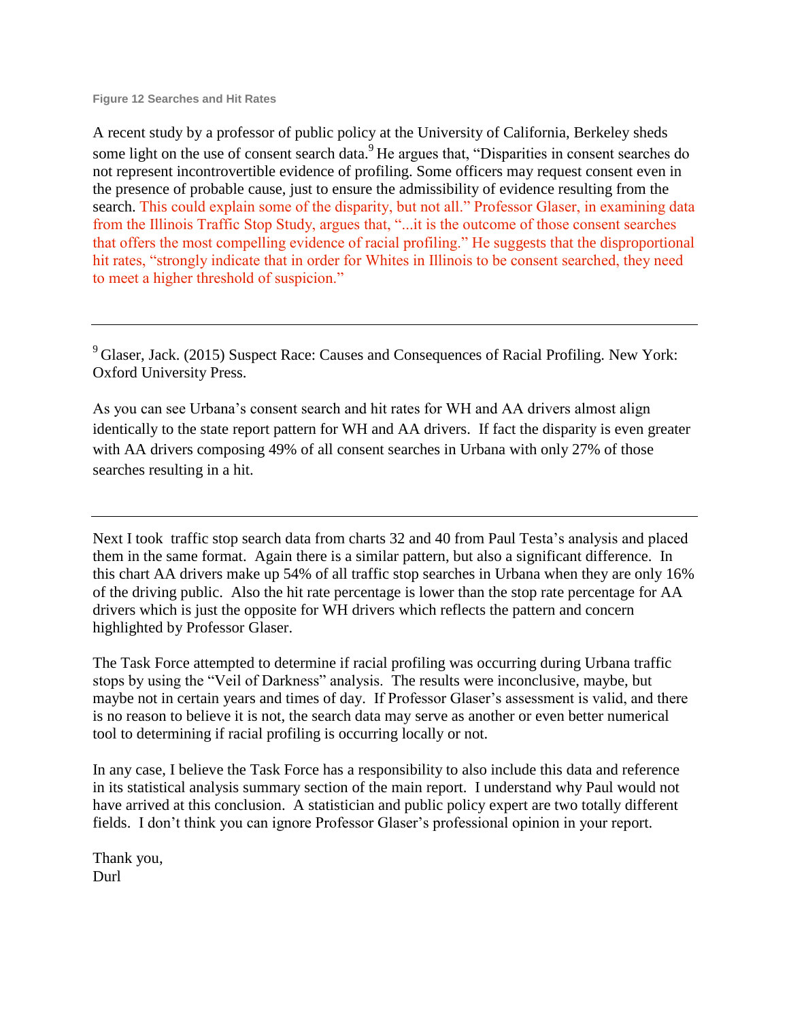**Figure 12 Searches and Hit Rates**

A recent study by a professor of public policy at the University of California, Berkeley sheds some light on the use of consent search data.<sup>9</sup>He argues that, "Disparities in consent searches do not represent incontrovertible evidence of profiling. Some officers may request consent even in the presence of probable cause, just to ensure the admissibility of evidence resulting from the search. This could explain some of the disparity, but not all." Professor Glaser, in examining data from the Illinois Traffic Stop Study, argues that, "...it is the outcome of those consent searches that offers the most compelling evidence of racial profiling." He suggests that the disproportional hit rates, "strongly indicate that in order for Whites in Illinois to be consent searched, they need to meet a higher threshold of suspicion."

<sup>9</sup> Glaser, Jack. (2015) Suspect Race: Causes and Consequences of Racial Profiling. New York: Oxford University Press.

As you can see Urbana's consent search and hit rates for WH and AA drivers almost align identically to the state report pattern for WH and AA drivers. If fact the disparity is even greater with AA drivers composing 49% of all consent searches in Urbana with only 27% of those searches resulting in a hit.

Next I took traffic stop search data from charts 32 and 40 from Paul Testa's analysis and placed them in the same format. Again there is a similar pattern, but also a significant difference. In this chart AA drivers make up 54% of all traffic stop searches in Urbana when they are only 16% of the driving public. Also the hit rate percentage is lower than the stop rate percentage for AA drivers which is just the opposite for WH drivers which reflects the pattern and concern highlighted by Professor Glaser.

The Task Force attempted to determine if racial profiling was occurring during Urbana traffic stops by using the "Veil of Darkness" analysis. The results were inconclusive, maybe, but maybe not in certain years and times of day. If Professor Glaser's assessment is valid, and there is no reason to believe it is not, the search data may serve as another or even better numerical tool to determining if racial profiling is occurring locally or not.

In any case, I believe the Task Force has a responsibility to also include this data and reference in its statistical analysis summary section of the main report. I understand why Paul would not have arrived at this conclusion. A statistician and public policy expert are two totally different fields. I don't think you can ignore Professor Glaser's professional opinion in your report.

Thank you, Durl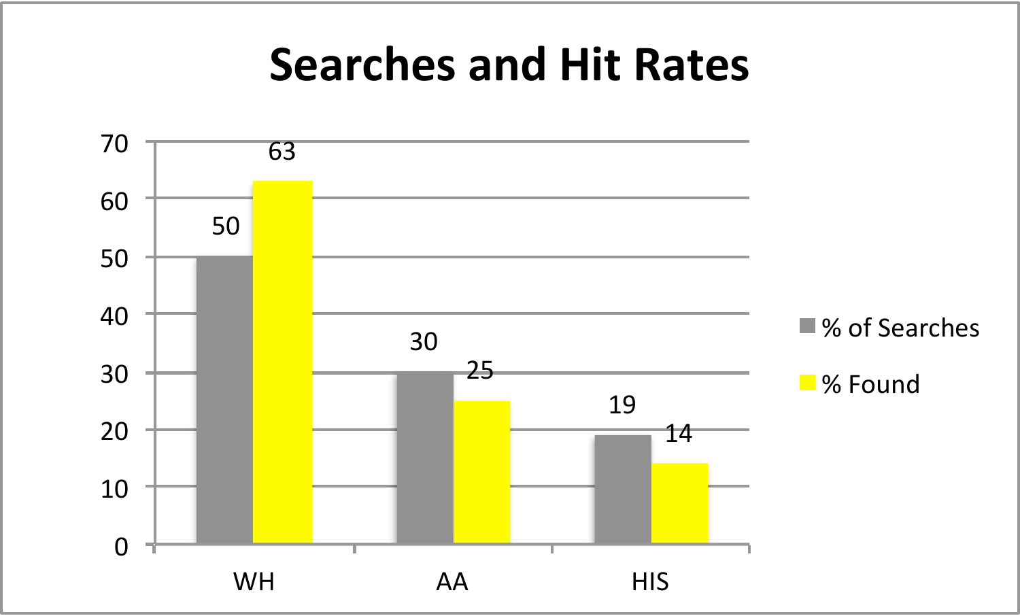# **Searches and Hit Rates**

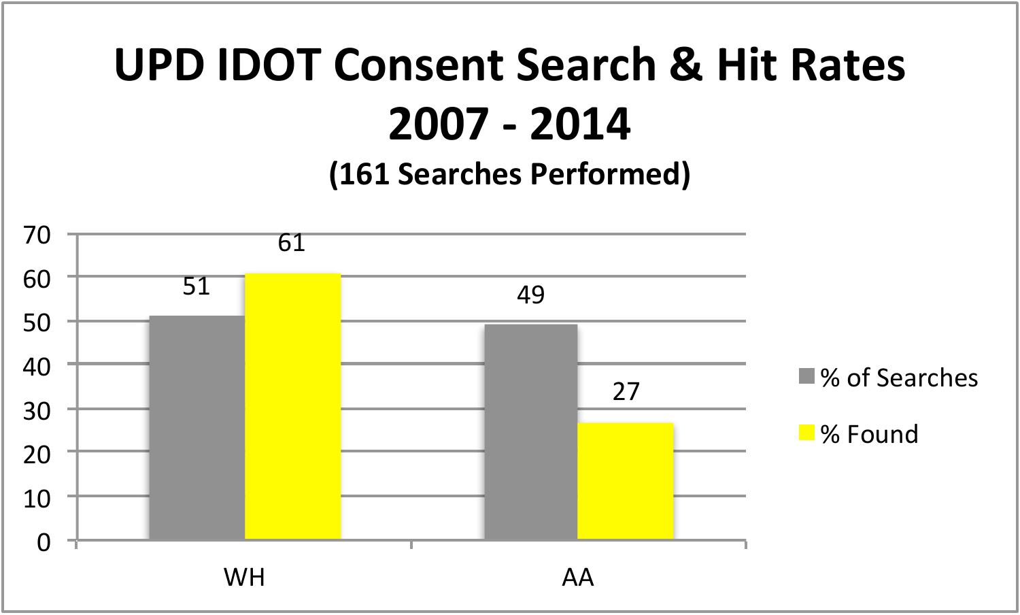# **UPD IDOT Consent Search & Hit Rates 2007 - 2014 (161 Searches Performed)**